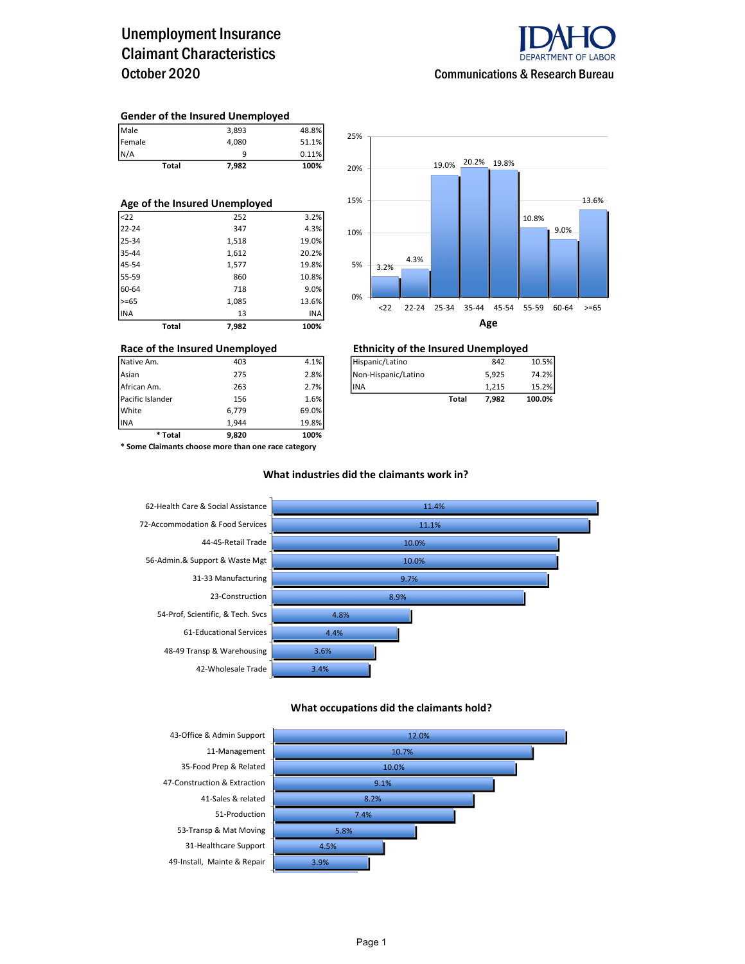## Unemployment Insurance Claimant Characteristics October 2020



#### Gender of the Insured Unemployed

| <b>Total</b> | 7,982 | 100%  |
|--------------|-------|-------|
| N/A          | a     | 0.11% |
| Female       | 4,080 | 51.1% |
| Male         | 3,893 | 48.8% |

| Age of the Insured Unemployed |       |       |  |  |  |  |  |  |  |
|-------------------------------|-------|-------|--|--|--|--|--|--|--|
| $22$                          | 252   | 3.2%  |  |  |  |  |  |  |  |
| $22 - 24$                     | 347   | 4.3%  |  |  |  |  |  |  |  |
| 25-34                         | 1,518 | 19.0% |  |  |  |  |  |  |  |
| 35-44                         | 1,612 | 20.2% |  |  |  |  |  |  |  |
| 45-54                         | 1,577 | 19.8% |  |  |  |  |  |  |  |
| 55-59                         | 860   | 10.8% |  |  |  |  |  |  |  |
| 60-64                         | 718   | 9.0%  |  |  |  |  |  |  |  |
| $>= 65$                       | 1,085 | 13.6% |  |  |  |  |  |  |  |
| <b>INA</b>                    | 13    | INA   |  |  |  |  |  |  |  |
| Total                         | 7.982 | 100%  |  |  |  |  |  |  |  |



| * Total          | 9.820 | 100%  |                     |              |       |        |
|------------------|-------|-------|---------------------|--------------|-------|--------|
| <b>INA</b>       | 1.944 | 19.8% |                     |              |       |        |
| White            | 6,779 | 69.0% |                     |              |       |        |
| Pacific Islander | 156   | 1.6%  |                     | <b>Total</b> | 7,982 | 100.0% |
| African Am.      | 263   | 2.7%  | lina                |              | 1.215 | 15.2%  |
| Asian            | 275   | 2.8%  | Non-Hispanic/Latino |              | 5,925 | 74.2%  |
| Native Am.       | 403   | 4.1%  | Hispanic/Latino     |              | 842   | 10.5%  |

#### Race of the Insured Unemployed Ethnicity of the Insured Unemployed

| Native Am.       | 403 | 4.1%   | Hispanic/Latino      |       | 842   | 10.5%  |
|------------------|-----|--------|----------------------|-------|-------|--------|
| Asian            | 275 | 2.8%   | INon-Hispanic/Latino |       | 5,925 | 74.2%  |
| African Am.      | 263 | 2.7%   | lina                 |       | 1.215 | 15.2%  |
| Pacific Islander | 156 | 1.6% l |                      | Total | 7.982 | 100.0% |

\* Some Claimants choose more than one race category

### What industries did the claimants work in?



#### What occupations did the claimants hold?

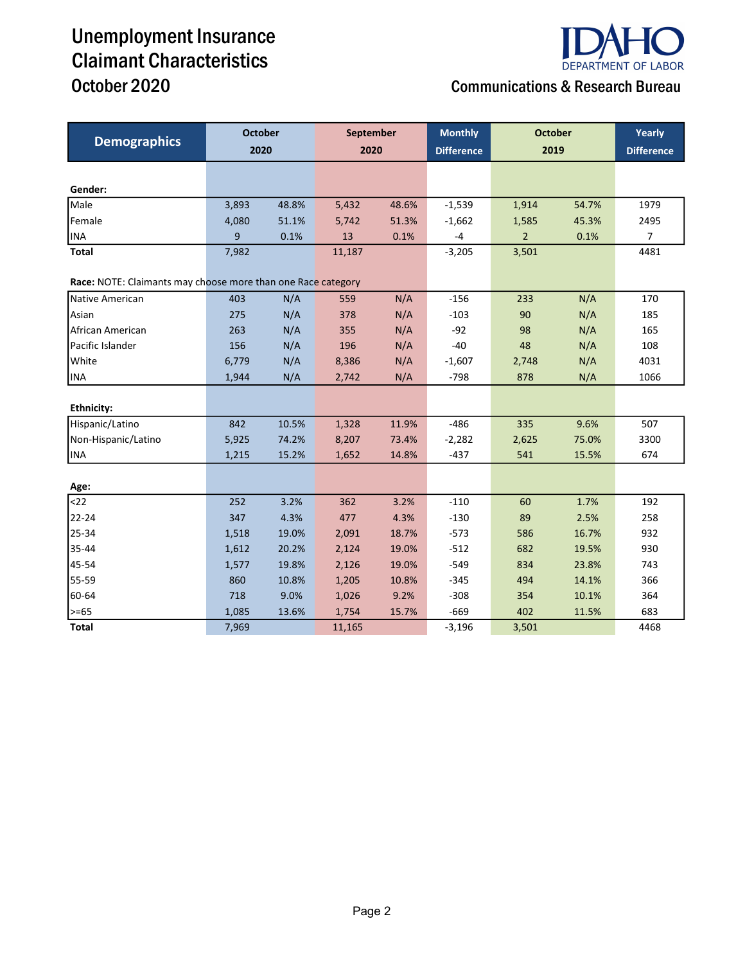# Unemployment Insurance Claimant Characteristics



## October 2020 **Communications & Research Bureau**

| <b>Demographics</b>                                          | <b>October</b> |       | September |       | <b>Monthly</b>    | <b>October</b> | Yearly |                   |
|--------------------------------------------------------------|----------------|-------|-----------|-------|-------------------|----------------|--------|-------------------|
|                                                              | 2020           |       | 2020      |       | <b>Difference</b> | 2019           |        | <b>Difference</b> |
|                                                              |                |       |           |       |                   |                |        |                   |
| Gender:                                                      |                |       |           |       |                   |                |        |                   |
| Male                                                         | 3,893          | 48.8% | 5,432     | 48.6% | $-1,539$          | 1,914          | 54.7%  | 1979              |
| Female                                                       | 4,080          | 51.1% | 5,742     | 51.3% | $-1,662$          | 1,585          | 45.3%  | 2495              |
| <b>INA</b>                                                   | 9              | 0.1%  | 13        | 0.1%  | $-4$              | $\overline{2}$ | 0.1%   | $\overline{7}$    |
| <b>Total</b>                                                 | 7,982          |       | 11,187    |       | $-3,205$          | 3,501          |        | 4481              |
| Race: NOTE: Claimants may choose more than one Race category |                |       |           |       |                   |                |        |                   |
| Native American                                              | 403            | N/A   | 559       | N/A   | $-156$            | 233            | N/A    | 170               |
| Asian                                                        | 275            | N/A   | 378       | N/A   | $-103$            | 90             | N/A    | 185               |
| African American                                             | 263            | N/A   | 355       | N/A   | $-92$             | 98             | N/A    | 165               |
| Pacific Islander                                             | 156            | N/A   | 196       | N/A   | $-40$             | 48             | N/A    | 108               |
| White                                                        | 6,779          | N/A   | 8,386     | N/A   | $-1,607$          | 2,748          | N/A    | 4031              |
| <b>INA</b>                                                   | 1,944          | N/A   | 2,742     | N/A   | $-798$            | 878            | N/A    | 1066              |
|                                                              |                |       |           |       |                   |                |        |                   |
| <b>Ethnicity:</b>                                            |                |       |           |       |                   |                |        |                   |
| Hispanic/Latino                                              | 842            | 10.5% | 1,328     | 11.9% | $-486$            | 335            | 9.6%   | 507               |
| Non-Hispanic/Latino                                          | 5,925          | 74.2% | 8,207     | 73.4% | $-2,282$          | 2,625          | 75.0%  | 3300              |
| <b>INA</b>                                                   | 1,215          | 15.2% | 1,652     | 14.8% | $-437$            | 541            | 15.5%  | 674               |
|                                                              |                |       |           |       |                   |                |        |                   |
| Age:                                                         |                |       |           |       |                   |                |        |                   |
| $22$                                                         | 252            | 3.2%  | 362       | 3.2%  | $-110$            | 60             | 1.7%   | 192               |
| 22-24                                                        | 347            | 4.3%  | 477       | 4.3%  | $-130$            | 89             | 2.5%   | 258               |
| 25-34                                                        | 1,518          | 19.0% | 2,091     | 18.7% | $-573$            | 586            | 16.7%  | 932               |
| 35-44                                                        | 1,612          | 20.2% | 2,124     | 19.0% | $-512$            | 682            | 19.5%  | 930               |
| 45-54                                                        | 1,577          | 19.8% | 2,126     | 19.0% | $-549$            | 834            | 23.8%  | 743               |
| 55-59                                                        | 860            | 10.8% | 1,205     | 10.8% | $-345$            | 494            | 14.1%  | 366               |
| 60-64                                                        | 718            | 9.0%  | 1,026     | 9.2%  | $-308$            | 354            | 10.1%  | 364               |
| $>= 65$                                                      | 1,085          | 13.6% | 1,754     | 15.7% | $-669$            | 402            | 11.5%  | 683               |
| <b>Total</b>                                                 | 7,969          |       | 11,165    |       | $-3,196$          | 3,501          |        | 4468              |